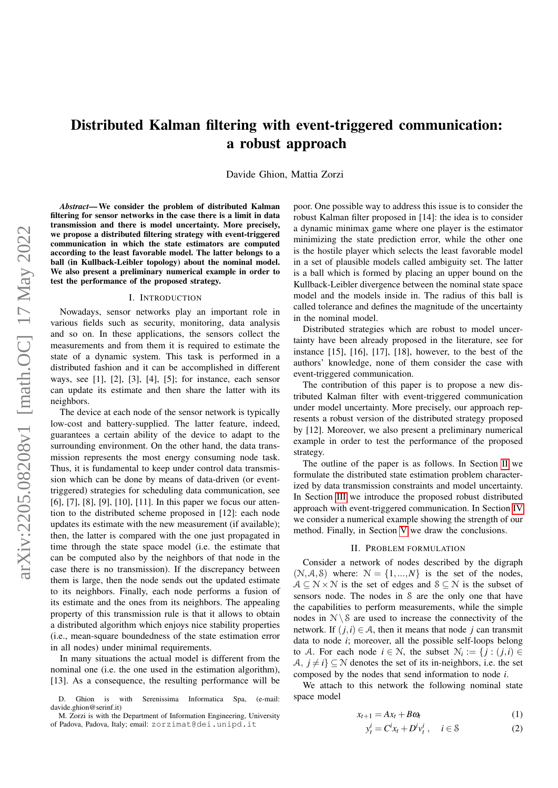# Distributed Kalman filtering with event-triggered communication: a robust approach

Davide Ghion, Mattia Zorzi

*Abstract*— We consider the problem of distributed Kalman filtering for sensor networks in the case there is a limit in data transmission and there is model uncertainty. More precisely, we propose a distributed filtering strategy with event-triggered communication in which the state estimators are computed according to the least favorable model. The latter belongs to a ball (in Kullback-Leibler topology) about the nominal model. We also present a preliminary numerical example in order to test the performance of the proposed strategy.

#### I. INTRODUCTION

Nowadays, sensor networks play an important role in various fields such as security, monitoring, data analysis and so on. In these applications, the sensors collect the measurements and from them it is required to estimate the state of a dynamic system. This task is performed in a distributed fashion and it can be accomplished in different ways, see [1], [2], [3], [4], [5]; for instance, each sensor can update its estimate and then share the latter with its neighbors.

The device at each node of the sensor network is typically low-cost and battery-supplied. The latter feature, indeed, guarantees a certain ability of the device to adapt to the surrounding environment. On the other hand, the data transmission represents the most energy consuming node task. Thus, it is fundamental to keep under control data transmission which can be done by means of data-driven (or eventtriggered) strategies for scheduling data communication, see [6], [7], [8], [9], [10], [11]. In this paper we focus our attention to the distributed scheme proposed in [12]: each node updates its estimate with the new measurement (if available); then, the latter is compared with the one just propagated in time through the state space model (i.e. the estimate that can be computed also by the neighbors of that node in the case there is no transmission). If the discrepancy between them is large, then the node sends out the updated estimate to its neighbors. Finally, each node performs a fusion of its estimate and the ones from its neighbors. The appealing property of this transmission rule is that it allows to obtain a distributed algorithm which enjoys nice stability properties (i.e., mean-square boundedness of the state estimation error in all nodes) under minimal requirements.

In many situations the actual model is different from the nominal one (i.e. the one used in the estimation algorithm), [13]. As a consequence, the resulting performance will be poor. One possible way to address this issue is to consider the robust Kalman filter proposed in [14]: the idea is to consider a dynamic minimax game where one player is the estimator minimizing the state prediction error, while the other one is the hostile player which selects the least favorable model in a set of plausible models called ambiguity set. The latter is a ball which is formed by placing an upper bound on the Kullback-Leibler divergence between the nominal state space model and the models inside in. The radius of this ball is called tolerance and defines the magnitude of the uncertainty in the nominal model.

Distributed strategies which are robust to model uncertainty have been already proposed in the literature, see for instance [15], [16], [17], [18], however, to the best of the authors' knowledge, none of them consider the case with event-triggered communication.

The contribution of this paper is to propose a new distributed Kalman filter with event-triggered communication under model uncertainty. More precisely, our approach represents a robust version of the distributed strategy proposed by [12]. Moreover, we also present a preliminary numerical example in order to test the performance of the proposed strategy.

The outline of the paper is as follows. In Section [II](#page-0-0) we formulate the distributed state estimation problem characterized by data transmission constraints and model uncertainty. In Section [III](#page-1-0) we introduce the proposed robust distributed approach with event-triggered communication. In Section [IV](#page-3-0) we consider a numerical example showing the strength of our method. Finally, in Section [V](#page-5-0) we draw the conclusions.

### II. PROBLEM FORMULATION

<span id="page-0-0"></span>Consider a network of nodes described by the digraph  $(N, A, S)$  where:  $N = \{1, ..., N\}$  is the set of the nodes,  $A \subseteq N \times N$  is the set of edges and  $S \subseteq N$  is the subset of sensors node. The nodes in S are the only one that have the capabilities to perform measurements, while the simple nodes in  $N \setminus S$  are used to increase the connectivity of the network. If  $(j, i) \in A$ , then it means that node *j* can transmit data to node *i*; moreover, all the possible self-loops belong to A. For each node  $i \in \mathbb{N}$ , the subset  $\mathcal{N}_i := \{j : (j,i) \in \mathbb{N}\}\$  $A, j \neq i$   $\subseteq$  *N* denotes the set of its in-neighbors, i.e. the set composed by the nodes that send information to node *i*.

We attach to this network the following nominal state space model

$$
x_{t+1} = Ax_t + B\omega_t \tag{1}
$$

<span id="page-0-2"></span><span id="page-0-1"></span>
$$
y_t^i = C^i x_t + D^i y_t^i, \quad i \in \mathcal{S}
$$
 (2)

D. Ghion is with Serenissima Informatica Spa, (e-mail: davide.ghion@serinf.it)

M. Zorzi is with the Department of Information Engineering, University of Padova, Padova, Italy; email: zorzimat@dei.unipd.it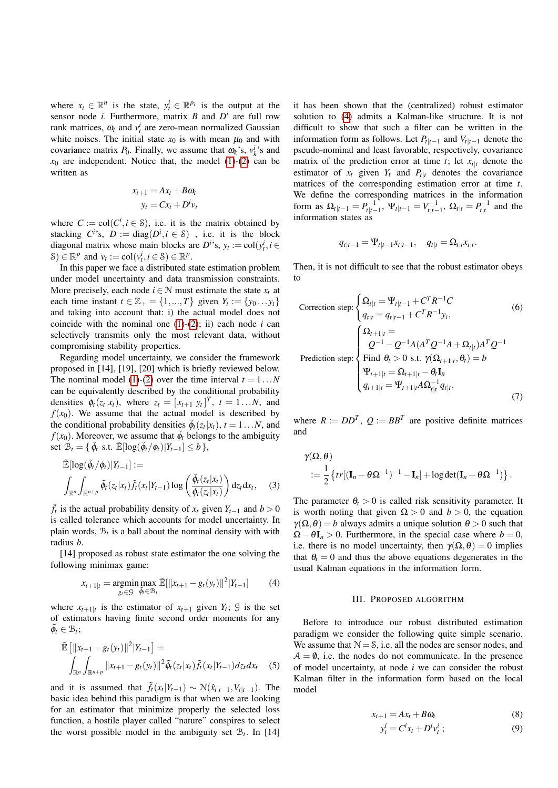where  $x_t \in \mathbb{R}^n$  is the state,  $y_t^i \in \mathbb{R}^{p_i}$  is the output at the sensor node *i*. Furthermore, matrix *B* and  $D^i$  are full row rank matrices,  $\omega_t$  and  $v_t^i$  are zero-mean normalized Gaussian white noises. The initial state  $x_0$  is with mean  $\mu_0$  and with covariance matrix  $P_0$ . Finally, we assume that  $\omega_k$ 's,  $v_k^i$ 's and  $x_0$  are independent. Notice that, the model [\(1\)](#page-0-1)-[\(2\)](#page-0-2) can be written as

$$
x_{t+1} = Ax_t + B\omega_t
$$

$$
y_t = Cx_t + D^i v_t
$$

where  $C := \text{col}(C^i, i \in \mathcal{S})$ , i.e. it is the matrix obtained by stacking  $C^{i}$ 's,  $D := diag(D^{i}, i \in S)$ , i.e. it is the block diagonal matrix whose main blocks are  $D^{i}$ 's,  $y_t := col(y_t^i, i \in$  $(S) \in \mathbb{R}^p$  and  $v_t := \text{col}(v_t^i, i \in S) \in \mathbb{R}^p$ .

In this paper we face a distributed state estimation problem under model uncertainty and data transmission constraints. More precisely, each node  $i \in \mathcal{N}$  must estimate the state  $x_t$  at each time instant  $t \in \mathbb{Z}_+ = \{1, ..., T\}$  given  $Y_t := \{y_0, ..., y_t\}$ and taking into account that: i) the actual model does not coincide with the nominal one  $(1)-(2)$  $(1)-(2)$  $(1)-(2)$ ; ii) each node *i* can selectively transmits only the most relevant data, without compromising stability properties.

Regarding model uncertainty, we consider the framework proposed in [14], [19], [20] which is briefly reviewed below. The nominal model [\(1\)](#page-0-1)-[\(2\)](#page-0-2) over the time interval  $t = 1...N$ can be equivalently described by the conditional probability densities  $\phi_t(z_t|x_t)$ , where  $z_t = [x_{t+1} \ y_t]^T$ ,  $t = 1...N$ , and  $f(x_0)$ . We assume that the actual model is described by the conditional probability densities  $\tilde{\phi}_t(z_t|x_t)$ ,  $t = 1...N$ , and  $f(x_0)$ . Moreover, we assume that  $\tilde{\phi}_t$  belongs to the ambiguity set  $\mathcal{B}_t = \{\tilde{\phi}_t \text{ s.t. } \tilde{\mathbb{E}}[\log(\tilde{\phi}_t/\phi_t)|Y_{t-1}] \leq b\},\$ 

$$
\tilde{\mathbb{E}}[\log(\tilde{\phi}_t/\phi_t)|Y_{t-1}] :=
$$
\n
$$
\int_{\mathbb{R}^n} \int_{\mathbb{R}^{n+p}} \tilde{\phi}_t(z_t|x_t) \tilde{f}_t(x_t|Y_{t-1}) \log\left(\frac{\tilde{\phi}_t(z_t|x_t)}{\phi_t(z_t|x_t)}\right) dz_t dx_t, \quad (3)
$$

 $\tilde{f}_t$  is the actual probability density of  $x_t$  given  $Y_{t-1}$  and  $b > 0$ is called tolerance which accounts for model uncertainty. In plain words,  $B_t$  is a ball about the nominal density with with radius *b*.

[14] proposed as robust state estimator the one solving the following minimax game:

$$
x_{t+1|t} = \underset{g_t \in \mathcal{G}}{\text{argmin}} \max_{\tilde{\phi}_t \in \mathcal{B}_t} \tilde{\mathbb{E}}[\|x_{t+1} - g_t(y_t)\|^2 | Y_{t-1}] \tag{4}
$$

where  $x_{t+1|t}$  is the estimator of  $x_{t+1}$  given  $Y_t$ ; G is the set of estimators having finite second order moments for any  $\tilde{\phi}_t \in \mathcal{B}_t$ ;

$$
\tilde{\mathbb{E}}\left[\|x_{t+1} - g_t(y_t)\|^2 |Y_{t-1}\right] =
$$
\n
$$
\int_{\mathbb{R}^n} \int_{\mathbb{R}^{n+p}} \|x_{t+1} - g_t(y_t)\|^2 \tilde{\phi}_t(z_t | x_t) \tilde{f}_t(x_t | Y_{t-1}) dz_t dx_t \quad (5)
$$

and it is assumed that  $\tilde{f}_t(x_t|Y_{t-1}) \sim \mathcal{N}(\hat{x}_{t|t-1}, V_{t|t-1})$ . The basic idea behind this paradigm is that when we are looking for an estimator that minimize properly the selected loss function, a hostile player called "nature" conspires to select the worst possible model in the ambiguity set  $B_t$ . In [14]

it has been shown that the (centralized) robust estimator solution to [\(4\)](#page-1-1) admits a Kalman-like structure. It is not difficult to show that such a filter can be written in the information form as follows. Let  $P_{t|t-1}$  and  $V_{t|t-1}$  denote the pseudo-nominal and least favorable, respectively, covariance matrix of the prediction error at time *t*; let  $x<sub>t</sub>$ <sup>*t*</sup> denote the estimator of  $x_t$  given  $Y_t$  and  $P_{t|t}$  denotes the covariance matrices of the corresponding estimation error at time *t*. We define the corresponding matrices in the information form as  $\Omega_{t|t-1} = P_{t|t-1}^{-1}$ ,  $\Psi_{t|t-1} = V_{t|t-1}^{-1}$ ,  $\Omega_{t|t} = P_{t|t}^{-1}$  and the information states as

$$
q_{t|t-1} = \Psi_{t|t-1} x_{t|t-1}, \quad q_{t|t} = \Omega_{t|t} x_{t|t}.
$$

Then, it is not difficult to see that the robust estimator obeys to

\n
$$
\text{Correction step:} \begin{cases}\n\Omega_{t|t} = \Psi_{t|t-1} + C^{T} R^{-1} C \\
q_{t|t} = q_{t|t-1} + C^{T} R^{-1} y_{t},\n\end{cases}
$$
\n

\n\n
$$
\text{Prediction step:} \begin{cases}\n\Omega_{t+1|t} = \\
Q^{-1} - Q^{-1} A (A^{T} Q^{-1} A + \Omega_{t|t}) A^{T} Q^{-1} \\
\text{Find } \theta_{t} > 0 \text{ s.t. } \gamma(\Omega_{t+1|t}, \theta_{t}) = b \\
\Psi_{t+1|t} = \Omega_{t+1|t} - \theta_{t} \mathbf{I}_{n} \\
q_{t+1|t} = \Psi_{t+1|t} A \Omega_{t|t}^{-1} q_{t|t},\n\end{cases}
$$
\n

\n\n
$$
(7)
$$
\n

where  $R := DD^T$ ,  $Q := BB^T$  are positive definite matrices and

$$
\gamma(\Omega,\theta) = \frac{1}{2} \left\{ tr[(\mathbf{I}_n - \theta \Omega^{-1})^{-1} - \mathbf{I}_n] + \log \det(\mathbf{I}_n - \theta \Omega^{-1}) \right\}.
$$

The parameter  $\theta_t > 0$  is called risk sensitivity parameter. It is worth noting that given  $\Omega > 0$  and  $b > 0$ , the equation  $\gamma(\Omega,\theta) = b$  always admits a unique solution  $\theta > 0$  such that  $\Omega - \theta I_n > 0$ . Furthermore, in the special case where *b* = 0, i.e. there is no model uncertainty, then  $\gamma(\Omega,\theta) = 0$  implies that  $\theta_t = 0$  and thus the above equations degenerates in the usual Kalman equations in the information form.

# III. PROPOSED ALGORITHM

<span id="page-1-1"></span><span id="page-1-0"></span>Before to introduce our robust distributed estimation paradigm we consider the following quite simple scenario. We assume that  $N = S$ , i.e. all the nodes are sensor nodes, and  $A = \emptyset$ , i.e. the nodes do not communicate. In the presence of model uncertainty, at node *i* we can consider the robust Kalman filter in the information form based on the local model

$$
x_{t+1} = Ax_t + B\omega_t \tag{8}
$$

$$
y_t^i = C^i x_t + D^i y_t^i ; \qquad (9)
$$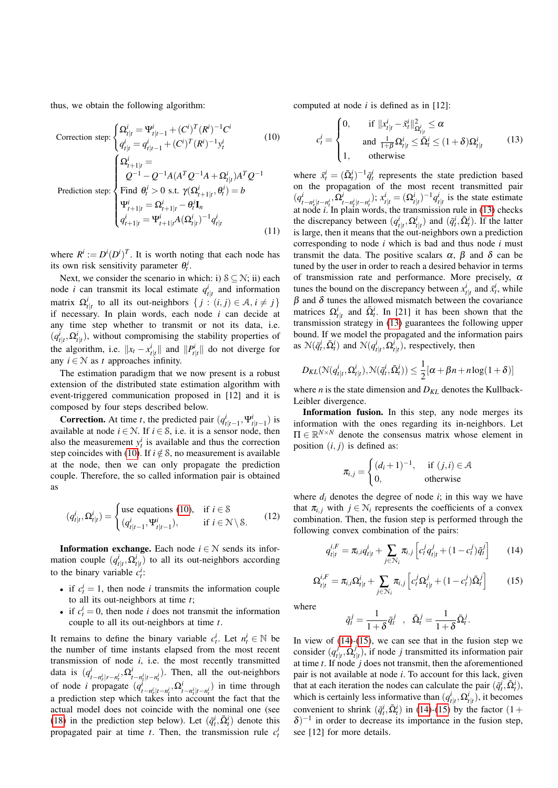thus, we obtain the following algorithm:

Correction step:

\n
$$
\begin{cases}\n\Omega_{t|t}^{i} = \Psi_{t|t-1}^{i} + (C^{i})^{T} (R^{i})^{-1} C^{i} \\
q_{t|t}^{i} = q_{t|t-1}^{i} + (C^{i})^{T} (R^{i})^{-1} y_{t}^{i}\n\end{cases}
$$
\n(10)

\n
$$
\begin{cases}\n\Omega_{t+1|t}^{i} = \\
Q^{-1} - Q^{-1} A (A^{T} Q^{-1} A + \Omega_{t|t}^{i}) A^{T} Q^{-1} \\
\text{Find } \theta_{t}^{i} > 0 \text{ s.t. } \gamma (\Omega_{t+1|t}^{i}, \theta_{t}^{i}) = b \\
\Psi_{t+1|t}^{i} = \Omega_{t+1|t}^{i} - \theta_{t}^{i} \mathbf{I}_{n} \\
q_{t+1|t}^{i} = \Psi_{t+1|t}^{i} A (\Omega_{t|t}^{i})^{-1} q_{t|t}^{i}\n\end{cases}
$$
\n(11)

where  $R^i := D^i (D^i)^T$ . It is worth noting that each node has its own risk sensitivity parameter  $\theta_t^i$ .

Next, we consider the scenario in which: i)  $S \subseteq N$ ; ii) each node *i* can transmit its local estimate  $q_{t|t}^{i}$  and information matrix  $\Omega^i_{t|t}$  to all its out-neighbors  $\{j : (i,j) \in \mathcal{A}, i \neq j\}$ if necessary. In plain words, each node *i* can decide at any time step whether to transmit or not its data, i.e.  $(q_{t|t}^i, \Omega_{t|t}^i)$ , without compromising the stability properties of the algorithm, i.e.  $||x_t - x_{t|t}^i||$  and  $||P_{t|t}^i||$  do not diverge for any  $i \in \mathbb{N}$  as *t* approaches infinity.

The estimation paradigm that we now present is a robust extension of the distributed state estimation algorithm with event-triggered communication proposed in [12] and it is composed by four steps described below.

**Correction.** At time *t*, the predicted pair  $(q_{t|t-1}^i, \Psi_{t|t-1}^i)$  is available at node  $i \in \mathbb{N}$ . If  $i \in \mathcal{S}$ , i.e. it is a sensor node, then also the measurement  $y_t^i$  is available and thus the correction step coincides with [\(10\)](#page-2-0). If  $i \notin \mathcal{S}$ , no measurement is available at the node, then we can only propagate the prediction couple. Therefore, the so called information pair is obtained as

$$
(q_{t|t}^i, \Omega_{t|t}^i) = \begin{cases} \text{use equations (10),} & \text{if } i \in \mathcal{S} \\ (q_{t|t-1}^i, \Psi_{t|t-1}^i), & \text{if } i \in \mathcal{N} \setminus \mathcal{S}. \end{cases} \tag{12}
$$

**Information exchange.** Each node  $i \in \mathcal{N}$  sends its information couple  $(q_{t|t}^i, \Omega_{t|t}^i)$  to all its out-neighbors according to the binary variable  $c_i^i$ :

- if  $c_t^i = 1$ , then node *i* transmits the information couple to all its out-neighbors at time *t*;
- if  $c_t^i = 0$ , then node *i* does not transmit the information couple to all its out-neighbors at time *t*.

It remains to define the binary variable  $c_t^i$ . Let  $n_t^i \in \mathbb{N}$  be the number of time instants elapsed from the most recent transmission of node *i*, i.e. the most recently transmitted data is  $(q_i^i)$  $\sum_{t}^{i}$  *t*−*n<sub>i</sub>*</sub>  $\Omega^{i}_{t}$ −*n<sub>i</sub>* |*t*−*n<sub>i</sub>*</sub> |*t* . Then, all the out-neighbors of node *i* propagate (*q i*  $\sum_{t-n_{t}^{i}|t-n_{t}^{i}}^{i}$ ,  $\Omega_{t-n_{t}^{i}|t-n_{t}^{i}}^{i}$  in time through a prediction step which takes into account the fact that the actual model does not coincide with the nominal one (see [\(18\)](#page-3-1) in the prediction step below). Let  $(\bar{q}_t^i, \bar{\Omega}_t^i)$  denote this propagated pair at time *t*. Then, the transmission rule  $c_i^i$ 

<span id="page-2-0"></span>computed at node *i* is defined as in [12]:

<span id="page-2-1"></span>
$$
c_t^i = \begin{cases} 0, & \text{if } \|x_{t|t}^i - \bar{x}_t^i\|_{\Omega_{t|t}^i}^2 \le \alpha \\ & \text{and } \frac{1}{1+\beta} \Omega_{t|t}^i \le \bar{\Omega}_t^i \le (1+\delta)\Omega_{t|t}^i \\ 1, & \text{otherwise} \end{cases} \tag{13}
$$

<span id="page-2-4"></span>where  $\bar{x}_t^i = (\bar{\Omega}_t^i)^{-1} \bar{q}_t^i$  represents the state prediction based on the propagation of the most recent transmitted pair  $(q)$  $x_{t-n_{r}^{i}|t-n_{t}^{i}}^{i}$ ,  $\Omega_{t-n_{t}^{i}|t-n_{t}^{i}}^{i}$ ,  $x_{t|t}^{i} = (\Omega_{t|t}^{i})^{-1}q_{t|t}^{i}$  is the state estimate at node *i*. In plain words, the transmission rule in [\(13\)](#page-2-1) checks the discrepancy between  $(q_{t|t}^i, \Omega_{t|t}^i)$  and  $(\bar{q}_t^i, \bar{\Omega}_t^i)$ . If the latter is large, then it means that the out-neighbors own a prediction corresponding to node *i* which is bad and thus node *i* must transmit the data. The positive scalars  $\alpha$ ,  $\beta$  and  $\delta$  can be tuned by the user in order to reach a desired behavior in terms of transmission rate and performance. More precisely,  $\alpha$ tunes the bound on the discrepancy between  $x_{t|t}^i$  and  $\bar{x}_t^i$ , while  $\beta$  and  $\delta$  tunes the allowed mismatch between the covariance matrices  $\Omega_{t|t}^i$  and  $\overline{\Omega}_t^i$ . In [21] it has been shown that the transmission strategy in [\(13\)](#page-2-1) guarantees the following upper bound. If we model the propagated and the information pairs as  $\mathcal{N}(\bar{q}_t^i, \bar{\Omega}_t^i)$  and  $\mathcal{N}(q_{t|t}^i, \Omega_{t|t}^i)$ , respectively, then

$$
D_{KL}(\mathcal{N}(q_{t|t}^i,\Omega_{t|t}^i),\mathcal{N}(\bar{q}_t^i,\bar{\Omega}_t^i)) \leq \frac{1}{2}[\alpha+\beta n+n\log(1+\delta)]
$$

where  $n$  is the state dimension and  $D_{KL}$  denotes the Kullback-Leibler divergence.

Information fusion. In this step, any node merges its information with the ones regarding its in-neighbors. Let  $\Pi \in \mathbb{R}^{N \times N}$  denote the consensus matrix whose element in position  $(i, j)$  is defined as:

$$
\pi_{i,j} = \begin{cases} (d_i + 1)^{-1}, & \text{if } (j,i) \in \mathcal{A} \\ 0, & \text{otherwise} \end{cases}
$$

where  $d_i$  denotes the degree of node  $i$ ; in this way we have that  $\pi_{i,j}$  with  $j \in \mathcal{N}_i$  represents the coefficients of a convex combination. Then, the fusion step is performed through the following convex combination of the pairs:

<span id="page-2-2"></span>
$$
q_{t|t}^{i,F} = \pi_{i,i} q_{t|t}^i + \sum_{j \in \mathcal{N}_i} \pi_{i,j} \left[ c_t^j q_{t|t}^j + (1 - c_t^j) \tilde{q}_t^j \right] \tag{14}
$$

<span id="page-2-3"></span>
$$
\Omega_{t|t}^{i,F} = \pi_{i,i}\Omega_{t|t}^i + \sum_{j \in \mathcal{N}_i} \pi_{i,j} \left[ c_t^j \Omega_{t|t}^j + (1 - c_t^j) \tilde{\Omega}_t^j \right] \tag{15}
$$

where

$$
\tilde{q}_t^j = \frac{1}{1+\delta} \bar{q}_t^j \quad , \quad \tilde{\Omega}_t^j = \frac{1}{1+\delta} \bar{\Omega}_t^j.
$$

In view of  $(14)-(15)$  $(14)-(15)$  $(14)-(15)$ , we can see that in the fusion step we consider (*q j*  $\frac{j}{t|t}, \hat{\Omega}^j_t$  $t(t|t)$ , if node *j* transmitted its information pair at time *t*. If node *j* does not transmit, then the aforementioned pair is not available at node *i*. To account for this lack, given that at each iteration the nodes can calculate the pair  $(\bar{q}_t^i, \bar{\Omega}_t^i)$ , which is certainly less informative than  $(q_{t|t}^i, \Omega_{t|t}^i)$ , it becomes convenient to shrink  $(\bar{q}_t^i, \bar{\Omega}_t^i)$  in [\(14\)](#page-2-2)-[\(15\)](#page-2-3) by the factor (1+  $\delta$ )<sup>-1</sup> in order to decrease its importance in the fusion step, see [12] for more details.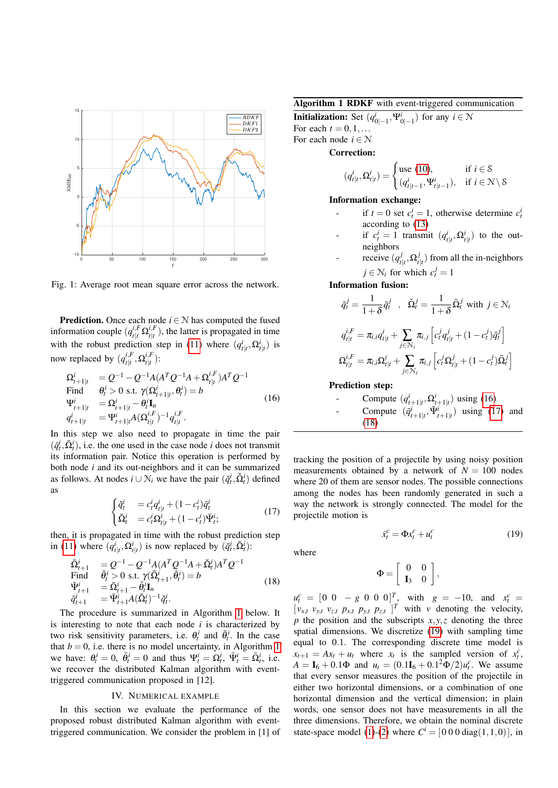<span id="page-3-6"></span>

Fig. 1: Average root mean square error across the network.

**Prediction.** Once each node  $i \in \mathcal{N}$  has computed the fused information couple  $(q_{t|t}^{i,F} \Omega_{t|t}^{i,F})$  $t_{t|t}^{t,F}$ ), the latter is propagated in time with the robust prediction step in [\(11\)](#page-2-4) where  $(q_{t|t}^i, \Omega_{t|t}^i)$  is now replaced by  $(q_{t}|t$  $_{t\mid t}^{i,F},\Omega_{t\mid t}^{i,F}$  $t$ <sup>t</sup>, $t$ </sup>):

$$
\Omega_{t+1|t}^{i} = Q^{-1} - Q^{-1}A(A^{T}Q^{-1}A + \Omega_{t|t}^{i,F})A^{T}Q^{-1}
$$
  
\nFind  $\theta_{t}^{i} > 0$  s.t.  $\gamma(\Omega_{t+1|t}^{i}, \theta_{t}^{i}) = b$   
\n
$$
\Psi_{t+1|t}^{i} = \Omega_{t+1|t}^{i} - \theta_{t}^{i}\mathbf{I}_{n}
$$
  
\n
$$
q_{t+1|t}^{i} = \Psi_{t+1|t}^{i}A(\Omega_{t|t}^{i,F})^{-1}q_{t|t}^{i,F}.
$$
\n(16)

In this step we also need to propagate in time the pair  $(\bar{q}_t^i, \bar{\Omega}_t^i)$ , i.e. the one used in the case node *i* does not transmit its information pair. Notice this operation is performed by both node *i* and its out-neighbors and it can be summarized as follows. At nodes  $i \cup \mathcal{N}_i$  we have the pair  $(\check{q}_t^i, \check{\Omega}_t^i)$  defined as

$$
\begin{cases} \ddot{q}_i^i &= c_i^i q_{i|t}^i + (1 - c_i^i) \bar{q}_i^i \\ \breve{\Omega}_i^i &= c_i^i \Omega_{i|t}^i + (1 - c_i^i) \bar{\Psi}_i^i; \end{cases}
$$
(17)

then, it is propagated in time with the robust prediction step in [\(11\)](#page-2-4) where  $(q_{t|t}^i, \Omega_{t|t}^i)$  is now replaced by  $(q_t^i, \check{\Omega}_t^i)$ :

$$
\begin{array}{lll}\n\bar{\Omega}_{t+1}^i & = Q^{-1} - Q^{-1} A (A^T Q^{-1} A + \tilde{\Omega}_t^i) A^T Q^{-1} \\
\text{Find} & \bar{\theta}_t^i > 0 \text{ s.t. } \gamma (\bar{\Omega}_{t+1}^i, \bar{\theta}_t^i) = b \\
\bar{\Psi}_{t+1}^i & = \bar{\Omega}_{t+1}^i - \bar{\theta}_t^i \mathbf{I}_n \\
\bar{q}_{t+1}^i & = \bar{\Psi}_{t+1}^i A (\tilde{\Omega}_t^i)^{-1} \tilde{q}_t^i.\n\end{array} \tag{18}
$$

The procedure is summarized in Algorithm [1](#page-3-2) below. It is interesting to note that each node *i* is characterized by two risk sensitivity parameters, i.e.  $\theta_t^i$  and  $\bar{\theta}_t^i$ . In the case that  $b = 0$ , i.e. there is no model uncertainty, in Algorithm [1](#page-3-2) we have:  $\theta_t^i = 0$ ,  $\bar{\theta}_t^i = 0$  and thus  $\Psi_t^i = \Omega_t^i$ ,  $\bar{\Psi}_t^i = \bar{\Omega}_t^i$ , i.e. we recover the distributed Kalman algorithm with eventtriggered communication proposed in [12].

#### IV. NUMERICAL EXAMPLE

<span id="page-3-0"></span>In this section we evaluate the performance of the proposed robust distributed Kalman algorithm with eventtriggered communication. We consider the problem in [1] of

### <span id="page-3-2"></span>Algorithm 1 RDKF with event-triggered communication

**Initialization:** Set  $(q_{0|-1}^i, \Psi_{0|-1}^i)$  for any  $i \in \mathbb{N}$ 

For each  $t = 0, 1, \ldots$ 

For each node  $i \in \mathbb{N}$ 

Correction:

$$
(q_{t|t}^i, \Omega_{t|t}^i) = \begin{cases} \text{use } (10), & \text{if } i \in \mathcal{S} \\ (q_{t|t-1}^i, \Psi_{t|t-1}^i), & \text{if } i \in \mathcal{N} \setminus \mathcal{S} \end{cases}
$$

# Information exchange:

- if  $t = 0$  set  $c_t^i = 1$ , otherwise determine  $c_t^i$ according to [\(13\)](#page-2-1)
- if  $c_t^i = 1$  transmit  $(q_{t|t}^i, \Omega_{t|t}^i)$  to the outneighbors
- receive  $(q_t^j)$  $\frac{d}{dt}\left|t\right|, \Omega_t^j$  $t(t|t)$  from all the in-neighbors  $j \in \mathcal{N}_i$  for which  $c_t^j = 1$

# Information fusion:

$$
\tilde{q}_t^j = \frac{1}{1+\delta} \bar{q}_t^j \quad , \quad \tilde{\Omega}_t^j = \frac{1}{1+\delta} \bar{\Omega}_t^j \text{ with } j \in \mathcal{N}_i
$$
\n
$$
q_{t|t}^{i,F} = \pi_{i,i} q_{t|t}^i + \sum_{j \in \mathcal{N}_i} \pi_{i,j} \left[ c_t^j q_{t|t}^j + (1 - c_t^j) \tilde{q}_t^j \right]
$$
\n
$$
\Omega_{t|t}^{i,F} = \pi_{i,i} \Omega_{t|t}^i + \sum_{j \in \mathcal{N}_i} \pi_{i,j} \left[ c_t^j \Omega_{t|t}^j + (1 - c_t^j) \tilde{\Omega}_t^j \right]
$$

<span id="page-3-3"></span>Prediction step:

\n
$$
\text{Compute } (q_{t+1|t}^i, \Omega_{t+1|t}^i) \text{ using (16)} \\
 \text{Compute } (\bar{q}_{t+1|t}^i, \Psi_{t+1|t}^i) \text{ using (17)} \text{ and } \\
 \text{(18)}\n \end{align}
$$
\n

<span id="page-3-4"></span>tracking the position of a projectile by using noisy position measurements obtained by a network of  $N = 100$  nodes where 20 of them are sensor nodes. The possible connections among the nodes has been randomly generated in such a way the network is strongly connected. The model for the projectile motion is

<span id="page-3-5"></span>
$$
\dot{x}_t^c = \Phi x_t^c + u_t^c \tag{19}
$$

where

$$
\Phi = \left[ \begin{array}{cc} 0 & 0 \\ \mathbf{I}_3 & 0 \end{array} \right],
$$

<span id="page-3-1"></span> $u_t^c = [0 \ 0 \ -g \ 0 \ 0 \ 0]^T$ , with  $g = -10$ , and  $x_t^c =$  $[v_{x,t}$   $v_{y,t}$   $v_{z,t}$   $p_{x,t}$   $p_{y,t}$   $p_{z,t}$  ]<sup>T</sup> with *v* denoting the velocity, *p* the position and the subscripts  $x, y, z$  denoting the three spatial dimensions. We discretize [\(19\)](#page-3-5) with sampling time equal to 0.1. The corresponding discrete time model is  $x_{t+1} = Ax_t + u_t$  where  $x_t$  is the sampled version of  $x_t^c$ ,  $A = I_6 + 0.1\Phi$  and  $u_t = (0.1I_6 + 0.1^2\Phi/2)u_t^c$ . We assume that every sensor measures the position of the projectile in either two horizontal dimensions, or a combination of one horizontal dimension and the vertical dimension; in plain words, one sensor does not have measurements in all the three dimensions. Therefore, we obtain the nominal discrete state-space model [\(1\)](#page-0-1)-[\(2\)](#page-0-2) where  $C^i = [0 \ 0 \ 0 \ \text{diag}(1,1,0)]$ , in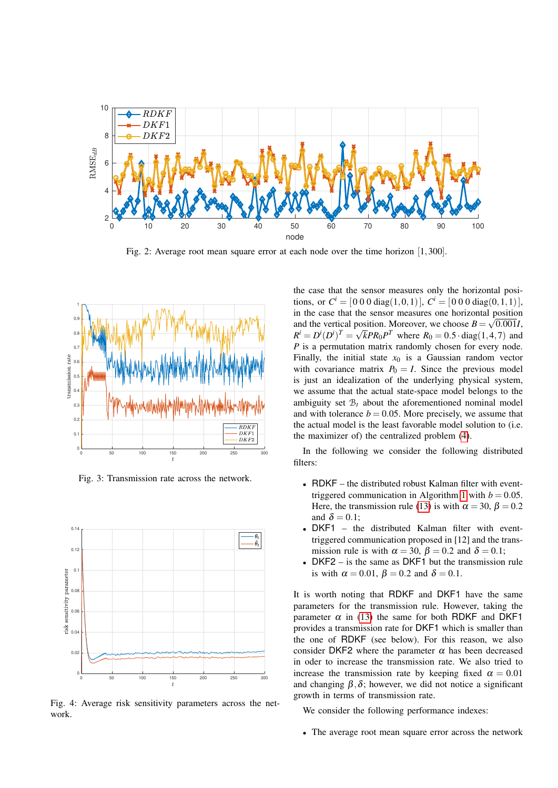<span id="page-4-0"></span>

Fig. 2: Average root mean square error at each node over the time horizon [1,300].

<span id="page-4-1"></span>

Fig. 3: Transmission rate across the network.

<span id="page-4-2"></span>

Fig. 4: Average risk sensitivity parameters across the network.

the case that the sensor measures only the horizontal positions, or  $C^i = [0 \ 0 \ 0 \ \text{diag}(1,0,1)], C^i = [0 \ 0 \ 0 \ \text{diag}(0,1,1)],$ in the case that the sensor measures one horizontal position and the vertical position. Moreover, we choose  $B = \sqrt{0.001I}$ , and the vertical po<br>  $R^i = D^i (D^i)^T = \sqrt{2}$  $\overline{k}PR_0P^T$  where  $R_0 = 0.5 \cdot diag(1, 4, 7)$  and *P* is a permutation matrix randomly chosen for every node. Finally, the initial state  $x_0$  is a Gaussian random vector with covariance matrix  $P_0 = I$ . Since the previous model is just an idealization of the underlying physical system, we assume that the actual state-space model belongs to the ambiguity set  $B_t$  about the aforementioned nominal model and with tolerance  $b = 0.05$ . More precisely, we assume that the actual model is the least favorable model solution to (i.e. the maximizer of) the centralized problem [\(4\)](#page-1-1).

In the following we consider the following distributed filters:

- RDKF the distributed robust Kalman filter with event-triggered communication in Algorithm [1](#page-3-2) with  $b = 0.05$ . Here, the transmission rule [\(13\)](#page-2-1) is with  $\alpha = 30$ ,  $\beta = 0.2$ and  $\delta = 0.1$ ;
- DKF1 the distributed Kalman filter with eventtriggered communication proposed in [12] and the transmission rule is with  $\alpha = 30$ ,  $\beta = 0.2$  and  $\delta = 0.1$ ;
- DKF2 is the same as DKF1 but the transmission rule is with  $\alpha = 0.01$ ,  $\beta = 0.2$  and  $\delta = 0.1$ .

It is worth noting that RDKF and DKF1 have the same parameters for the transmission rule. However, taking the parameter  $\alpha$  in [\(13\)](#page-2-1) the same for both RDKF and DKF1 provides a transmission rate for DKF1 which is smaller than the one of RDKF (see below). For this reason, we also consider DKF2 where the parameter  $\alpha$  has been decreased in oder to increase the transmission rate. We also tried to increase the transmission rate by keeping fixed  $\alpha = 0.01$ and changing  $\beta$ ,  $\delta$ ; however, we did not notice a significant growth in terms of transmission rate.

We consider the following performance indexes:

• The average root mean square error across the network